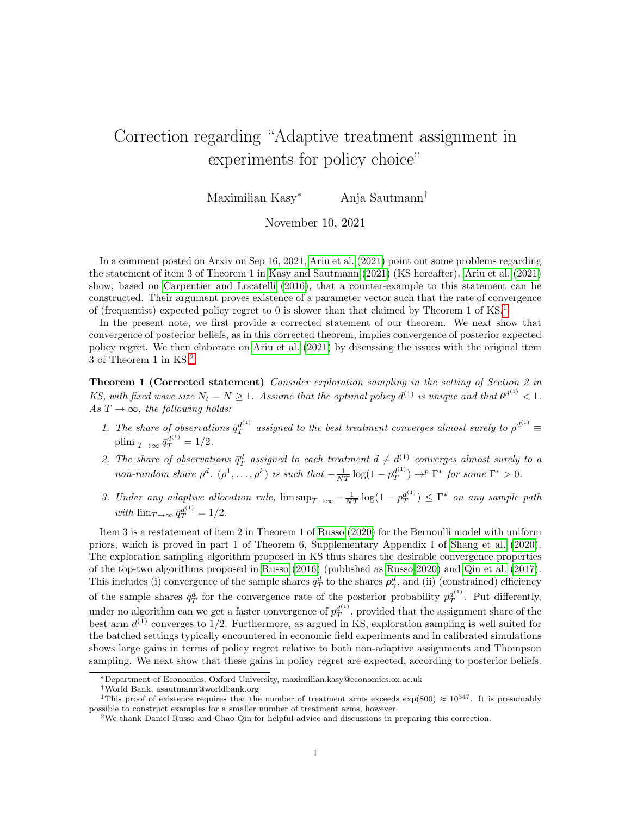## Correction regarding "Adaptive treatment assignment in experiments for policy choice"

Maximilian Kasy<sup>∗</sup> Anja Sautmann†

November 10, 2021

In a comment posted on Arxiv on Sep 16, 2021, [Ariu et al. \(2021\)](#page-3-0) point out some problems regarding the statement of item 3 of Theorem 1 in [Kasy and Sautmann \(2021\)](#page-3-1) (KS hereafter). [Ariu et al. \(2021\)](#page-3-0) show, based on [Carpentier and Locatelli \(2016\)](#page-3-2), that a counter-example to this statement can be constructed. Their argument proves existence of a parameter vector such that the rate of convergence of (frequentist) expected policy regret to 0 is slower than that claimed by Theorem [1](#page-0-0) of  $\text{KS}^1$ .

In the present note, we first provide a corrected statement of our theorem. We next show that convergence of posterior beliefs, as in this corrected theorem, implies convergence of posterior expected policy regret. We then elaborate on [Ariu et al. \(2021\)](#page-3-0) by discussing the issues with the original item 3 of Theorem 1 in KS.[2](#page-0-1)

<span id="page-0-2"></span>Theorem 1 (Corrected statement) Consider exploration sampling in the setting of Section 2 in KS, with fixed wave size  $N_t = N \ge 1$ . Assume that the optimal policy  $d^{(1)}$  is unique and that  $\theta^{d^{(1)}} < 1$ . As  $T \rightarrow \infty$ , the following holds:

- 1. The share of observations  $\bar{q}_T^{d^{(1)}}$  assigned to the best treatment converges almost surely to  $\rho^{d^{(1)}}$ plim  $_{T\to\infty} \bar{q}_T^{d^{(1)}} = 1/2$ .
- 2. The share of observations  $\bar{q}_T^d$  assigned to each treatment  $d \neq d^{(1)}$  converges almost surely to a non-random share  $\rho^d$ .  $(\rho^1, \ldots, \rho^k)$  is such that  $-\frac{1}{NT} \log(1 - p_T^{d^{(1)}}) \to^p \Gamma^*$  for some  $\Gamma^* > 0$ .
- 3. Under any adaptive allocation rule,  $\limsup_{T\to\infty} -\frac{1}{NT} \log(1-p_T^{d^{(1)}}) \leq \Gamma^*$  on any sample path with  $\lim_{T\to\infty} \bar{q}_T^{d^{(1)}} = 1/2$ .

Item 3 is a restatement of item 2 in Theorem 1 of [Russo \(2020\)](#page-3-3) for the Bernoulli model with uniform priors, which is proved in part 1 of Theorem 6, Supplementary Appendix I of [Shang et al. \(2020\)](#page-3-4). The exploration sampling algorithm proposed in KS thus shares the desirable convergence properties of the top-two algorithms proposed in [Russo \(2016\)](#page-3-5) (published as [Russo 2020\)](#page-3-3) and [Qin et al. \(2017\)](#page-3-6). This includes (i) convergence of the sample shares  $\bar{q}_T^d$  to the shares  $\rho_{\gamma}^d$ , and (ii) (constrained) efficiency of the sample shares  $\bar{q}_T^d$  for the convergence rate of the posterior probability  $p_T^{d^{(1)}}$ . Put differently, under no algorithm can we get a faster convergence of  $p_T^{d^{(1)}}$ , provided that the assignment share of the best arm  $d^{(1)}$  converges to 1/2. Furthermore, as argued in KS, exploration sampling is well suited for the batched settings typically encountered in economic field experiments and in calibrated simulations shows large gains in terms of policy regret relative to both non-adaptive assignments and Thompson sampling. We next show that these gains in policy regret are expected, according to posterior beliefs.

<sup>∗</sup>Department of Economics, Oxford University, maximilian.kasy@economics.ox.ac.uk

<span id="page-0-0"></span><sup>†</sup>World Bank, asautmann@worldbank.org

<sup>&</sup>lt;sup>1</sup>This proof of existence requires that the number of treatment arms exceeds  $\exp(800) \approx 10^{347}$ . It is presumably possible to construct examples for a smaller number of treatment arms, however.

<span id="page-0-1"></span><sup>2</sup>We thank Daniel Russo and Chao Qin for helpful advice and discussions in preparing this correction.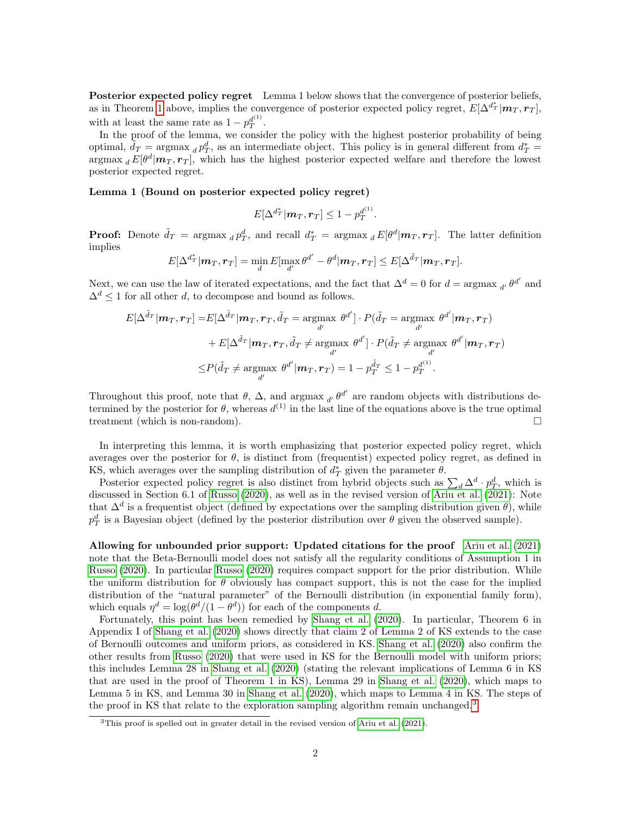Posterior expected policy regret Lemma 1 below shows that the convergence of posterior beliefs, as in Theorem [1](#page-0-2) above, implies the convergence of posterior expected policy regret,  $E[\Delta^{d_T^*}|\mathbf{m}_T, \mathbf{r}_T]$ , with at least the same rate as  $1 - p_T^{d^{(1)}}$ .

In the proof of the lemma, we consider the policy with the highest posterior probability of being optimal,  $\tilde{d}_T = \text{argmax}_d p_T^d$ , as an intermediate object. This policy is in general different from  $d_T^* =$ argmax  $_d E[\theta^d | m_T, r_T]$ , which has the highest posterior expected welfare and therefore the lowest posterior expected regret.

## Lemma 1 (Bound on posterior expected policy regret)

$$
E[\Delta^{d_T^*}|\boldsymbol{m}_T,\boldsymbol{r}_T]\leq 1-p_T^{d^{(1)}}.
$$

**Proof:** Denote  $\tilde{d}_T$  = argmax  $_d p_T^d$ , and recall  $d_T^*$  = argmax  $_d E[\theta^d | m_T, r_T]$ . The latter definition implies

$$
E[\Delta^{d^*_T}|\boldsymbol{m}_T,\boldsymbol{r}_T] = \min_{d} E[\max_{d'} \theta^{d'} - \theta^{d}|\boldsymbol{m}_T,\boldsymbol{r}_T] \leq E[\Delta^{\tilde{d}_T}|\boldsymbol{m}_T,\boldsymbol{r}_T].
$$

Next, we can use the law of iterated expectations, and the fact that  $\Delta^d = 0$  for  $d = \arg \max_{d'} \theta^{d'}$  and  $\Delta^d$  < 1 for all other d, to decompose and bound as follows.

$$
E[\Delta^{\tilde{d}_T}|\boldsymbol{m}_T, \boldsymbol{r}_T] = E[\Delta^{\tilde{d}_T}|\boldsymbol{m}_T, \boldsymbol{r}_T, \tilde{d}_T = \underset{d'}{\operatorname{argmax}} \theta^{d'}] \cdot P(\tilde{d}_T = \underset{d'}{\operatorname{argmax}} \theta^{d'}|\boldsymbol{m}_T, \boldsymbol{r}_T) + E[\Delta^{\tilde{d}_T}|\boldsymbol{m}_T, \boldsymbol{r}_T, \tilde{d}_T \neq \underset{d'}{\operatorname{argmax}} \theta^{d'}] \cdot P(\tilde{d}_T \neq \underset{d'}{\operatorname{argmax}} \theta^{d'}|\boldsymbol{m}_T, \boldsymbol{r}_T) \leq P(\tilde{d}_T \neq \underset{d'}{\operatorname{argmax}} \theta^{d'}|\boldsymbol{m}_T, \boldsymbol{r}_T) = 1 - p_T^{\tilde{d}_T} \leq 1 - p_T^{d^{(1)}}.
$$

Throughout this proof, note that  $\theta$ ,  $\Delta$ , and argmax  $_{d'}$   $\theta^{d'}$  are random objects with distributions determined by the posterior for  $\theta$ , whereas  $d^{(1)}$  in the last line of the equations above is the true optimal treatment (which is non-random).

In interpreting this lemma, it is worth emphasizing that posterior expected policy regret, which averages over the posterior for  $\theta$ , is distinct from (frequentist) expected policy regret, as defined in KS, which averages over the sampling distribution of  $d^*_T$  given the parameter  $\theta$ .

Posterior expected policy regret is also distinct from hybrid objects such as  $\sum_d \Delta^d \cdot p_T^d$ , which is discussed in Section 6.1 of [Russo \(2020\)](#page-3-3), as well as in the revised version of [Ariu et al. \(2021\)](#page-3-0): Note that  $\Delta^d$  is a frequentist object (defined by expectations over the sampling distribution given  $\theta$ ), while  $p_T^d$  is a Bayesian object (defined by the posterior distribution over  $\theta$  given the observed sample).

Allowing for unbounded prior support: Updated citations for the proof [Ariu et al. \(2021\)](#page-3-0) note that the Beta-Bernoulli model does not satisfy all the regularity conditions of Assumption 1 in [Russo \(2020\)](#page-3-3). In particular [Russo \(2020\)](#page-3-3) requires compact support for the prior distribution. While the uniform distribution for  $\theta$  obviously has compact support, this is not the case for the implied distribution of the "natural parameter" of the Bernoulli distribution (in exponential family form), which equals  $\eta^d = \log(\theta^d/(1-\theta^d))$  for each of the components d.

Fortunately, this point has been remedied by [Shang et al. \(2020\)](#page-3-4). In particular, Theorem 6 in Appendix I of [Shang et al. \(2020\)](#page-3-4) shows directly that claim 2 of Lemma 2 of KS extends to the case of Bernoulli outcomes and uniform priors, as considered in KS. [Shang et al. \(2020\)](#page-3-4) also confirm the other results from [Russo \(2020\)](#page-3-3) that were used in KS for the Bernoulli model with uniform priors; this includes Lemma 28 in [Shang et al. \(2020\)](#page-3-4) (stating the relevant implications of Lemma 6 in KS that are used in the proof of Theorem 1 in KS), Lemma 29 in [Shang et al. \(2020\)](#page-3-4), which maps to Lemma 5 in KS, and Lemma 30 in [Shang et al. \(2020\)](#page-3-4), which maps to Lemma 4 in KS. The steps of the proof in KS that relate to the exploration sampling algorithm remain unchanged.<sup>[3](#page-1-0)</sup>

<span id="page-1-0"></span><sup>&</sup>lt;sup>3</sup>This proof is spelled out in greater detail in the revised version of [Ariu et al.](#page-3-0) [\(2021\)](#page-3-0).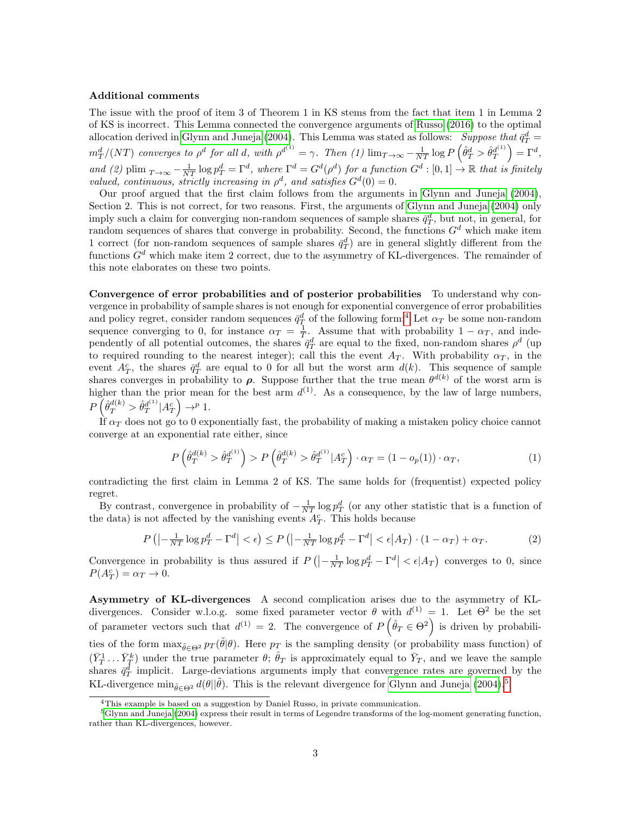## Additional comments

The issue with the proof of item 3 of Theorem 1 in KS stems from the fact that item 1 in Lemma 2 of KS is incorrect. This Lemma connected the convergence arguments of [Russo \(2016\)](#page-3-5) to the optimal allocation derived in [Glynn and Juneja \(2004\)](#page-3-7). This Lemma was stated as follows: Suppose that  $\bar{q}_T^d$  =  $m_T^d/(NT)$  converges to  $\rho^d$  for all d, with  $\rho^{d^{(1)}} = \gamma$ . Then (1)  $\lim_{T \to \infty} -\frac{1}{NT} \log P \left( \hat{\theta}_T^d > \hat{\theta}_T^{d^{(1)}} \right) = \Gamma^d$ , and (2) plim  $_{T\to\infty} - \frac{1}{NT} \log p_T^d = \Gamma^d$ , where  $\Gamma^d = G^d(\rho^d)$  for a function  $G^d : [0,1] \to \mathbb{R}$  that is finitely valued, continuous, strictly increasing in  $\rho^d$ , and satisfies  $G^d(0) = 0$ .

Our proof argued that the first claim follows from the arguments in [Glynn and Juneja \(2004\)](#page-3-7), Section 2. This is not correct, for two reasons. First, the arguments of [Glynn and Juneja \(2004\)](#page-3-7) only imply such a claim for converging non-random sequences of sample shares  $\bar{q}_T^d$ , but not, in general, for random sequences of shares that converge in probability. Second, the functions  $G<sup>d</sup>$  which make item 1 correct (for non-random sequences of sample shares  $\bar{q}_T^d$ ) are in general slightly different from the functions  $G<sup>d</sup>$  which make item 2 correct, due to the asymmetry of KL-divergences. The remainder of this note elaborates on these two points.

Convergence of error probabilities and of posterior probabilities To understand why convergence in probability of sample shares is not enough for exponential convergence of error probabilities and policy regret, consider random sequences  $\bar{q}_T^d$  of the following form:<sup>[4](#page-2-0)</sup> Let  $\alpha_T$  be some non-random sequence converging to 0, for instance  $\alpha_T = \frac{1}{T}$ . Assume that with probability  $1 - \alpha_T$ , and independently of all potential outcomes, the shares  $\bar{q}_T^d$  are equal to the fixed, non-random shares  $\rho^d$  (up to required rounding to the nearest integer); call this the event  $A_T$ . With probability  $\alpha_T$ , in the event  $A_T^c$ , the shares  $\bar{q}_T^d$  are equal to 0 for all but the worst arm  $d(k)$ . This sequence of sample shares converges in probability to  $\rho$ . Suppose further that the true mean  $\theta^{d(k)}$  of the worst arm is higher than the prior mean for the best arm  $d^{(1)}$ . As a consequence, by the law of large numbers,  $P\left(\hat{\theta}_T^{d(k)} > \hat{\theta}_T^{d^{(1)}} | A_T^c\right) \rightarrow^p 1.$ 

If  $\alpha_T$  does not go to 0 exponentially fast, the probability of making a mistaken policy choice cannot converge at an exponential rate either, since

$$
P\left(\hat{\theta}_T^{d(k)} > \hat{\theta}_T^{d^{(1)}}\right) > P\left(\hat{\theta}_T^{d(k)} > \hat{\theta}_T^{d^{(1)}} | A_T^c\right) \cdot \alpha_T = (1 - o_p(1)) \cdot \alpha_T, \tag{1}
$$

contradicting the first claim in Lemma 2 of KS. The same holds for (frequentist) expected policy regret.

By contrast, convergence in probability of  $-\frac{1}{NT} \log p_T^d$  (or any other statistic that is a function of the data) is not affected by the vanishing events  $A_T^c$ . This holds because

$$
P\left(|-\frac{1}{NT}\log p_T^d - \Gamma^d| < \epsilon\right) \le P\left(|-\frac{1}{NT}\log p_T^d - \Gamma^d| < \epsilon|A_T\right) \cdot (1 - \alpha_T) + \alpha_T. \tag{2}
$$

Convergence in probability is thus assured if  $P\left(\left|\frac{1}{NT}\log p_T^d - \Gamma^d\right| < \epsilon |A_T\right)$  converges to 0, since  $P(A_T^c) = \alpha_T \to 0.$ 

Asymmetry of KL-divergences A second complication arises due to the asymmetry of KLdivergences. Consider w.l.o.g. some fixed parameter vector  $\theta$  with  $d^{(1)} = 1$ . Let  $\Theta^2$  be the set of parameter vectors such that  $d^{(1)} = 2$ . The convergence of  $P(\hat{\theta}_T \in \Theta^2)$  is driven by probabilities of the form  $\max_{\tilde{\theta} \in \Theta^2} p_T(\tilde{\theta}|\theta)$ . Here  $p_T$  is the sampling density (or probability mass function) of  $(\bar{Y}_T^1 \dots \bar{Y}_T^k)$  under the true parameter  $\theta$ ;  $\hat{\theta}_T$  is approximately equal to  $\bar{Y}_T$ , and we leave the sample shares  $\bar{q}_T^d$  implicit. Large-deviations arguments imply that convergence rates are governed by the KL-divergence min<sub> $\tilde{\theta} \in \Theta^2$ </sub>  $d(\theta || \tilde{\theta})$ . This is the relevant divergence for [Glynn and Juneja \(2004\)](#page-3-7).<sup>[5](#page-2-1)</sup>

<span id="page-2-1"></span><span id="page-2-0"></span><sup>4</sup>This example is based on a suggestion by Daniel Russo, in private communication.

<sup>5</sup>[Glynn and Juneja](#page-3-7) [\(2004\)](#page-3-7) express their result in terms of Legendre transforms of the log-moment generating function, rather than KL-divergences, however.